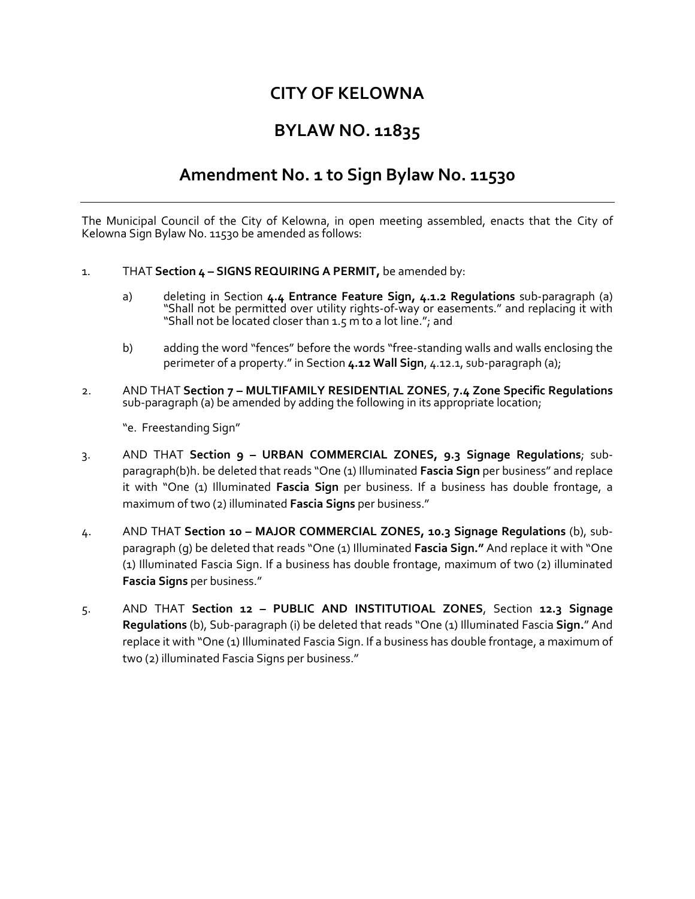## **CITY OF KELOWNA**

## **BYLAW NO. 11835**

## **Amendment No. 1 to Sign Bylaw No. 11530**

The Municipal Council of the City of Kelowna, in open meeting assembled, enacts that the City of Kelowna Sign Bylaw No. 11530 be amended as follows:

- 1. THAT **Section 4 – SIGNS REQUIRING A PERMIT,** be amended by:
	- a) deleting in Section **4.4 Entrance Feature Sign, 4.1.2 Regulations** sub-paragraph (a) "Shall not be permitted over utility rights‐of‐way or easements." and replacing it with "Shall not be located closer than 1.5 m to a lot line."; and
	- b) adding the word "fences" before the words "free-standing walls and walls enclosing the perimeter of a property." in Section **4.12 Wall Sign**, 4.12.1, sub-paragraph (a);
- 2. AND THAT **Section 7 – MULTIFAMILY RESIDENTIAL ZONES**, **7.4 Zone Specific Regulations**  sub-paragraph (a) be amended by adding the following in its appropriate location;

"e. Freestanding Sign"

- 3. AND THAT **Section 9 – URBAN COMMERCIAL ZONES, 9.3 Signage Regulations**; subparagraph(b)h. be deleted that reads "One (1) Illuminated **Fascia Sign** per business" and replace it with "One (1) Illuminated **Fascia Sign** per business. If a business has double frontage, a maximum of two (2) illuminated **Fascia Signs** per business."
- 4. AND THAT **Section 10 – MAJOR COMMERCIAL ZONES, 10.3 Signage Regulations** (b), subparagraph (g) be deleted that reads "One (1) Illuminated **Fascia Sign."** And replace it with "One (1) Illuminated Fascia Sign. If a business has double frontage, maximum of two (2) illuminated **Fascia Signs** per business."
- 5. AND THAT **Section 12 – PUBLIC AND INSTITUTIOAL ZONES**, Section **12.3 Signage Regulations** (b), Sub-paragraph (i) be deleted that reads "One (1) Illuminated Fascia **Sign.**" And replace it with "One (1) Illuminated Fascia Sign. If a business has double frontage, a maximum of two (2) illuminated Fascia Signs per business."